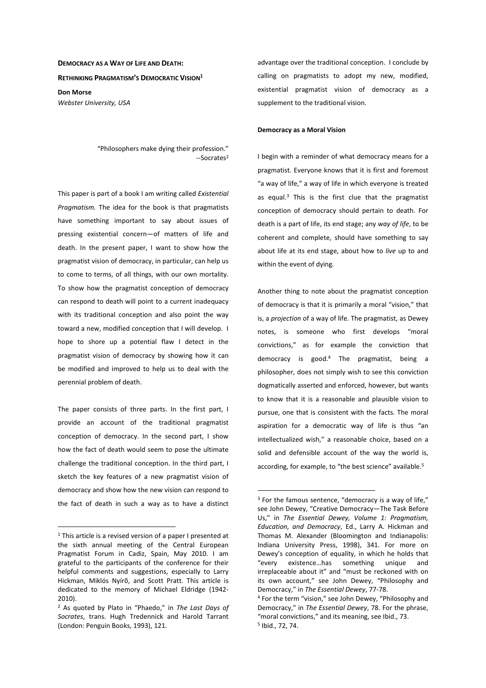### **DEMOCRACY AS A WAY OF LIFE AND DEATH:**

**RETHINKING PRAGMATISM'S DEMOCRATIC VISION<sup>1</sup>**

**Don Morse**  *Webster University, USA* 

> "Philosophers make dying their profession." --Socrates<sup>2</sup>

This paper is part of a book I am writing called *Existential Pragmatism.* The idea for the book is that pragmatists have something important to say about issues of pressing existential concern—of matters of life and death. In the present paper, I want to show how the pragmatist vision of democracy, in particular, can help us to come to terms, of all things, with our own mortality. To show how the pragmatist conception of democracy can respond to death will point to a current inadequacy with its traditional conception and also point the way toward a new, modified conception that I will develop. I hope to shore up a potential flaw I detect in the pragmatist vision of democracy by showing how it can be modified and improved to help us to deal with the perennial problem of death.

The paper consists of three parts. In the first part, I provide an account of the traditional pragmatist conception of democracy. In the second part, I show how the fact of death would seem to pose the ultimate challenge the traditional conception. In the third part, I sketch the key features of a new pragmatist vision of democracy and show how the new vision can respond to the fact of death in such a way as to have a distinct

 $\overline{a}$ 

advantage over the traditional conception. I conclude by calling on pragmatists to adopt my new, modified, existential pragmatist vision of democracy as a supplement to the traditional vision.

#### **Democracy as a Moral Vision**

I begin with a reminder of what democracy means for a pragmatist. Everyone knows that it is first and foremost "a way of life," a way of life in which everyone is treated as equal.<sup>3</sup> This is the first clue that the pragmatist conception of democracy should pertain to death. For death is a part of life, its end stage; any *way of life*, to be coherent and complete, should have something to say about life at its end stage, about how to *live* up to and within the event of dying.

Another thing to note about the pragmatist conception of democracy is that it is primarily a moral "vision," that is, a *projection* of a way of life. The pragmatist, as Dewey notes, is someone who first develops "moral convictions," as for example the conviction that democracy is good.<sup>4</sup> The pragmatist, being a philosopher, does not simply wish to see this conviction dogmatically asserted and enforced, however, but wants to know that it is a reasonable and plausible vision to pursue, one that is consistent with the facts. The moral aspiration for a democratic way of life is thus "an intellectualized wish," a reasonable choice, based on a solid and defensible account of the way the world is, according, for example, to "the best science" available.<sup>5</sup>

<sup>&</sup>lt;sup>1</sup> This article is a revised version of a paper I presented at the sixth annual meeting of the Central European Pragmatist Forum in Cadiz, Spain, May 2010. I am grateful to the participants of the conference for their helpful comments and suggestions, especially to Larry Hickman, Miklós Nyírõ, and Scott Pratt. This article is dedicated to the memory of Michael Eldridge (1942- 2010).

<sup>2</sup> As quoted by Plato in "Phaedo," in *The Last Days of Socrates*, trans. Hugh Tredennick and Harold Tarrant (London: Penguin Books, 1993), 121.

<sup>&</sup>lt;sup>3</sup> For the famous sentence, "democracy is a way of life," see John Dewey, "Creative Democracy—The Task Before Us," in *The Essential Dewey, Volume 1: Pragmatism, Education, and Democracy*, Ed., Larry A. Hickman and Thomas M. Alexander (Bloomington and Indianapolis: Indiana University Press, 1998), 341. For more on Dewey's conception of equality, in which he holds that "every existence…has something unique and irreplaceable about it" and "must be reckoned with on its own account," see John Dewey, "Philosophy and Democracy," in *The Essential Dewey*, 77-78.

<sup>4</sup> For the term "vision," see John Dewey, "Philosophy and Democracy," in *The Essential Dewey*, 78. For the phrase, "moral convictions," and its meaning, see Ibid., 73. 5 Ibid., 72, 74.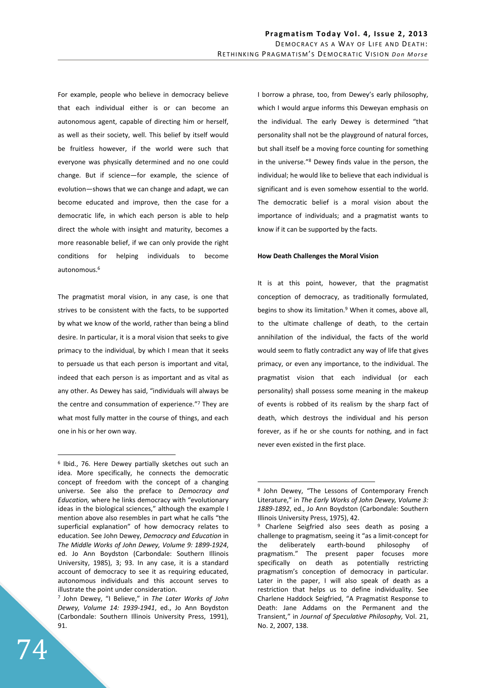For example, people who believe in democracy believe that each individual either is or can become an autonomous agent, capable of directing him or herself, as well as their society, well. This belief by itself would be fruitless however, if the world were such that everyone was physically determined and no one could change. But if science—for example, the science of evolution—shows that we can change and adapt, we can become educated and improve, then the case for a democratic life, in which each person is able to help direct the whole with insight and maturity, becomes a more reasonable belief, if we can only provide the right conditions for helping individuals to become autonomous.<sup>6</sup>

The pragmatist moral vision, in any case, is one that strives to be consistent with the facts, to be supported by what we know of the world, rather than being a blind desire. In particular, it is a moral vision that seeks to give primacy to the individual, by which I mean that it seeks to persuade us that each person is important and vital, indeed that each person is as important and as vital as any other. As Dewey has said, "individuals will always be the centre and consummation of experience."<sup>7</sup> They are what most fully matter in the course of things, and each one in his or her own way.

I borrow a phrase, too, from Dewey's early philosophy, which I would argue informs this Deweyan emphasis on the individual. The early Dewey is determined "that personality shall not be the playground of natural forces, but shall itself be a moving force counting for something in the universe."<sup>8</sup> Dewey finds value in the person, the individual; he would like to believe that each individual is significant and is even somehow essential to the world. The democratic belief is a moral vision about the importance of individuals; and a pragmatist wants to know if it can be supported by the facts.

### **How Death Challenges the Moral Vision**

It is at this point, however, that the pragmatist conception of democracy, as traditionally formulated, begins to show its limitation.<sup>9</sup> When it comes, above all, to the ultimate challenge of death, to the certain annihilation of the individual, the facts of the world would seem to flatly contradict any way of life that gives primacy, or even any importance, to the individual. The pragmatist vision that each individual (or each personality) shall possess some meaning in the makeup of events is robbed of its realism by the sharp fact of death, which destroys the individual and his person forever, as if he or she counts for nothing, and in fact never even existed in the first place.

 $\overline{a}$ 

<sup>&</sup>lt;sup>6</sup> Ibid., 76. Here Dewey partially sketches out such an idea. More specifically, he connects the democratic concept of freedom with the concept of a changing universe. See also the preface to *Democracy and Education,* where he links democracy with "evolutionary ideas in the biological sciences," although the example I mention above also resembles in part what he calls "the superficial explanation" of how democracy relates to education. See John Dewey, *Democracy and Education* in *The Middle Works of John Dewey, Volume 9: 1899-1924*, ed. Jo Ann Boydston (Carbondale: Southern Illinois University, 1985), 3; 93. In any case, it is a standard account of democracy to see it as requiring educated, autonomous individuals and this account serves to illustrate the point under consideration.

<sup>7</sup> John Dewey, "I Believe," in *The Later Works of John Dewey, Volume 14: 1939-1941*, ed., Jo Ann Boydston (Carbondale: Southern Illinois University Press, 1991), 91.

<sup>&</sup>lt;sup>8</sup> John Dewey, "The Lessons of Contemporary French Literature," in *The Early Works of John Dewey, Volume 3: 1889-1892*, ed., Jo Ann Boydston (Carbondale: Southern Illinois University Press, 1975), 42.

<sup>&</sup>lt;sup>9</sup> Charlene Seigfried also sees death as posing a challenge to pragmatism, seeing it "as a limit-concept for the deliberately earth-bound philosophy of pragmatism." The present paper focuses more specifically on death as potentially restricting pragmatism's conception of democracy in particular. Later in the paper, I will also speak of death as a restriction that helps us to define individuality. See Charlene Haddock Seigfried, "A Pragmatist Response to Death: Jane Addams on the Permanent and the Transient," in *Journal of Speculative Philosophy,* Vol. 21, No. 2, 2007, 138.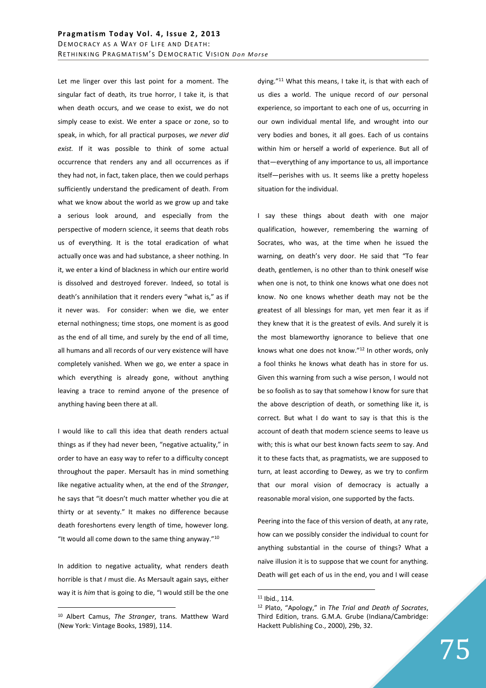Let me linger over this last point for a moment. The singular fact of death, its true horror, I take it, is that when death occurs, and we cease to exist, we do not simply cease to exist. We enter a space or zone, so to speak, in which, for all practical purposes, *we never did exist.* If it was possible to think of some actual occurrence that renders any and all occurrences as if they had not, in fact, taken place, then we could perhaps sufficiently understand the predicament of death. From what we know about the world as we grow up and take a serious look around, and especially from the perspective of modern science, it seems that death robs us of everything. It is the total eradication of what actually once was and had substance, a sheer nothing. In it, we enter a kind of blackness in which our entire world is dissolved and destroyed forever. Indeed, so total is death's annihilation that it renders every "what is," as if it never was. For consider: when we die, we enter eternal nothingness; time stops, one moment is as good as the end of all time, and surely by the end of all time, all humans and all records of our very existence will have completely vanished. When we go, we enter a space in which everything is already gone, without anything leaving a trace to remind anyone of the presence of anything having been there at all.

I would like to call this idea that death renders actual things as if they had never been, "negative actuality," in order to have an easy way to refer to a difficulty concept throughout the paper. Mersault has in mind something like negative actuality when, at the end of the *Stranger*, he says that "it doesn't much matter whether you die at thirty or at seventy." It makes no difference because death foreshortens every length of time, however long. "It would all come down to the same thing anyway."<sup>10</sup>

In addition to negative actuality, what renders death horrible is that *I* must die. As Mersault again says, either way it is *him* that is going to die, "I would still be the one

 $\overline{a}$ 

dying."<sup>11</sup> What this means, I take it, is that with each of us dies a world. The unique record of *our* personal experience, so important to each one of us, occurring in our own individual mental life, and wrought into our very bodies and bones, it all goes. Each of us contains within him or herself a world of experience. But all of that—everything of any importance to us, all importance itself—perishes with us. It seems like a pretty hopeless situation for the individual.

I say these things about death with one major qualification, however, remembering the warning of Socrates, who was, at the time when he issued the warning, on death's very door. He said that "To fear death, gentlemen, is no other than to think oneself wise when one is not, to think one knows what one does not know. No one knows whether death may not be the greatest of all blessings for man, yet men fear it as if they knew that it is the greatest of evils. And surely it is the most blameworthy ignorance to believe that one knows what one does not know."<sup>12</sup> In other words, only a fool thinks he knows what death has in store for us. Given this warning from such a wise person, I would not be so foolish as to say that somehow I know for sure that the above description of death, or something like it, is correct. But what I do want to say is that this is the account of death that modern science seems to leave us with; this is what our best known facts *seem* to say. And it to these facts that, as pragmatists, we are supposed to turn, at least according to Dewey, as we try to confirm that our moral vision of democracy is actually a reasonable moral vision, one supported by the facts.

Peering into the face of this version of death, at any rate, how can we possibly consider the individual to count for anything substantial in the course of things? What a naïve illusion it is to suppose that we count for anything. Death will get each of us in the end, you and I will cease

<sup>10</sup> Albert Camus, *The Stranger*, trans. Matthew Ward (New York: Vintage Books, 1989), 114.

<sup>11</sup> Ibid., 114.

<sup>12</sup> Plato, "Apology," in *The Trial and Death of Socrates*, Third Edition, trans. G.M.A. Grube (Indiana/Cambridge: Hackett Publishing Co., 2000), 29b, 32.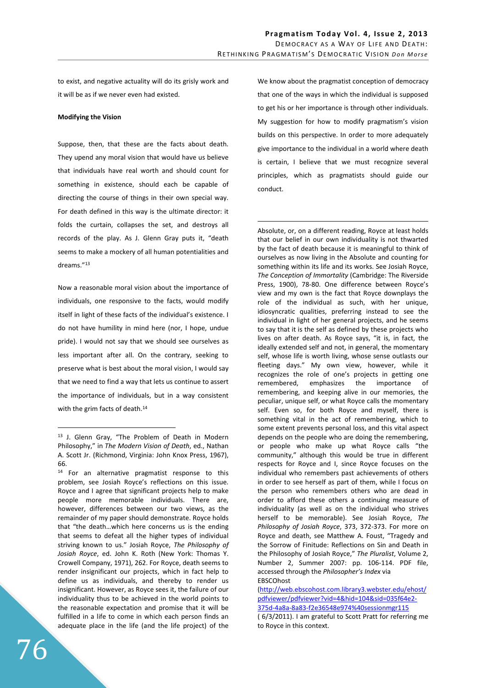$\overline{a}$ 

to exist, and negative actuality will do its grisly work and it will be as if we never even had existed.

### **Modifying the Vision**

Suppose, then, that these are the facts about death. They upend any moral vision that would have us believe that individuals have real worth and should count for something in existence, should each be capable of directing the course of things in their own special way. For death defined in this way is the ultimate director: it folds the curtain, collapses the set, and destroys all records of the play. As J. Glenn Gray puts it, "death seems to make a mockery of all human potentialities and dreams."<sup>13</sup>

Now a reasonable moral vision about the importance of individuals, one responsive to the facts, would modify itself in light of these facts of the individual's existence. I do not have humility in mind here (nor, I hope, undue pride). I would not say that we should see ourselves as less important after all. On the contrary, seeking to preserve what is best about the moral vision, I would say that we need to find a way that lets us continue to assert the importance of individuals, but in a way consistent with the grim facts of death.<sup>14</sup>

We know about the pragmatist conception of democracy that one of the ways in which the individual is supposed to get his or her importance is through other individuals. My suggestion for how to modify pragmatism's vision builds on this perspective. In order to more adequately give importance to the individual in a world where death is certain, I believe that we must recognize several principles, which as pragmatists should guide our conduct.

Absolute, or, on a different reading, Royce at least holds that our belief in our own individuality is not thwarted by the fact of death because it is meaningful to think of ourselves as now living in the Absolute and counting for something within its life and its works. See Josiah Royce, *The Conception of Immortality* (Cambridge: The Riverside Press, 1900), 78-80. One difference between Royce's view and my own is the fact that Royce downplays the role of the individual as such, with her unique, idiosyncratic qualities, preferring instead to see the individual in light of her general projects, and he seems to say that it is the self as defined by these projects who lives on after death. As Royce says, "it is, in fact, the ideally extended self and not, in general, the momentary self, whose life is worth living, whose sense outlasts our fleeting days." My own view, however, while it recognizes the role of one's projects in getting one remembered, emphasizes the importance of remembering, and keeping alive in our memories, the peculiar, unique self, or what Royce calls the momentary self. Even so, for both Royce and myself, there is something vital in the act of remembering, which to some extent prevents personal loss, and this vital aspect depends on the people who are doing the remembering, or people who make up what Royce calls "the community," although this would be true in different respects for Royce and I, since Royce focuses on the individual who remembers past achievements of others in order to see herself as part of them, while I focus on the person who remembers others who are dead in order to afford these others a continuing measure of individuality (as well as on the individual who strives herself to be memorable). See Josiah Royce, *The Philosophy of Josiah Royce*, 373, 372-373. For more on Royce and death, see Matthew A. Foust, "Tragedy and the Sorrow of Finitude: Reflections on Sin and Death in the Philosophy of Josiah Royce," *The Pluralist*, Volume 2, Number 2, Summer 2007: pp. 106-114. PDF file, accessed through the *Philosopher's Index* via EBSCOhost

## (http://web.ebscohost.com.library3.webster.edu/ehost/ pdfviewer/pdfviewer?vid=4&hid=104&sid=035f64e2- 375d-4a8a-8a83-f2e36548e974%40sessionmgr115

( 6/3/2011). I am grateful to Scott Pratt for referring me to Royce in this context.

<sup>13</sup> J. Glenn Gray, "The Problem of Death in Modern Philosophy," in *The Modern Vision of Death*, ed., Nathan A. Scott Jr. (Richmond, Virginia: John Knox Press, 1967), 66.

<sup>14</sup> For an alternative pragmatist response to this problem, see Josiah Royce's reflections on this issue. Royce and I agree that significant projects help to make people more memorable individuals. There are, however, differences between our two views, as the remainder of my paper should demonstrate. Royce holds that "the death…which here concerns us is the ending that seems to defeat all the higher types of individual striving known to us." Josiah Royce, *The Philosophy of Josiah Royce*, ed. John K. Roth (New York: Thomas Y. Crowell Company, 1971), 262. For Royce, death seems to render insignificant our projects, which in fact help to define us as individuals, and thereby to render us insignificant. However, as Royce sees it, the failure of our individuality thus to be achieved in the world points to the reasonable expectation and promise that it will be fulfilled in a life to come in which each person finds an adequate place in the life (and the life project) of the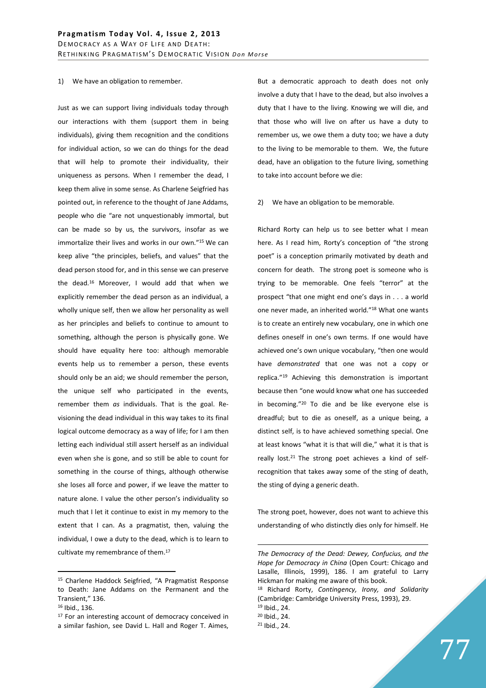## 1) We have an obligation to remember.

Just as we can support living individuals today through our interactions with them (support them in being individuals), giving them recognition and the conditions for individual action, so we can do things for the dead that will help to promote their individuality, their uniqueness as persons. When I remember the dead, I keep them alive in some sense. As Charlene Seigfried has pointed out, in reference to the thought of Jane Addams, people who die "are not unquestionably immortal, but can be made so by us, the survivors, insofar as we immortalize their lives and works in our own."<sup>15</sup> We can keep alive "the principles, beliefs, and values" that the dead person stood for, and in this sense we can preserve the dead.<sup>16</sup> Moreover, I would add that when we explicitly remember the dead person as an individual, a wholly unique self, then we allow her personality as well as her principles and beliefs to continue to amount to something, although the person is physically gone. We should have equality here too: although memorable events help us to remember a person, these events should only be an aid; we should remember the person, the unique self who participated in the events, remember them *as* individuals. That is the goal. Revisioning the dead individual in this way takes to its final logical outcome democracy as a way of life; for I am then letting each individual still assert herself as an individual even when she is gone, and so still be able to count for something in the course of things, although otherwise she loses all force and power, if we leave the matter to nature alone. I value the other person's individuality so much that I let it continue to exist in my memory to the extent that I can. As a pragmatist, then, valuing the individual, I owe a duty to the dead, which is to learn to cultivate my remembrance of them.<sup>17</sup>

 $\overline{a}$ 

But a democratic approach to death does not only involve a duty that I have to the dead, but also involves a duty that I have to the living. Knowing we will die, and that those who will live on after us have a duty to remember us, we owe them a duty too; we have a duty to the living to be memorable to them. We, the future dead, have an obligation to the future living, something to take into account before we die:

## 2) We have an obligation to be memorable.

Richard Rorty can help us to see better what I mean here. As I read him, Rorty's conception of "the strong poet" is a conception primarily motivated by death and concern for death. The strong poet is someone who is trying to be memorable. One feels "terror" at the prospect "that one might end one's days in . . . a world one never made, an inherited world."<sup>18</sup> What one wants is to create an entirely new vocabulary, one in which one defines oneself in one's own terms. If one would have achieved one's own unique vocabulary, "then one would have *demonstrated* that one was not a copy or replica."<sup>19</sup> Achieving this demonstration is important because then "one would know what one has succeeded in becoming."<sup>20</sup> To die and be like everyone else is dreadful; but to die as oneself, as a unique being, a distinct self, is to have achieved something special. One at least knows "what it is that will die," what it is that is really lost.<sup>21</sup> The strong poet achieves a kind of selfrecognition that takes away some of the sting of death, the sting of dying a generic death.

The strong poet, however, does not want to achieve this understanding of who distinctly dies only for himself. He

<sup>18</sup> Richard Rorty, *Contingency, Irony, and Solidarity*  (Cambridge: Cambridge University Press, 1993), 29.

<sup>15</sup> Charlene Haddock Seigfried, "A Pragmatist Response to Death: Jane Addams on the Permanent and the Transient," 136.

<sup>16</sup> Ibid., 136.

<sup>&</sup>lt;sup>17</sup> For an interesting account of democracy conceived in a similar fashion, see David L. Hall and Roger T. Aimes,

*The Democracy of the Dead: Dewey, Confucius, and the Hope for Democracy in China* (Open Court: Chicago and Lasalle, Illinois, 1999), 186. I am grateful to Larry Hickman for making me aware of this book.

<sup>19</sup> Ibid., 24.

<sup>20</sup> Ibid., 24.

<sup>21</sup> Ibid., 24.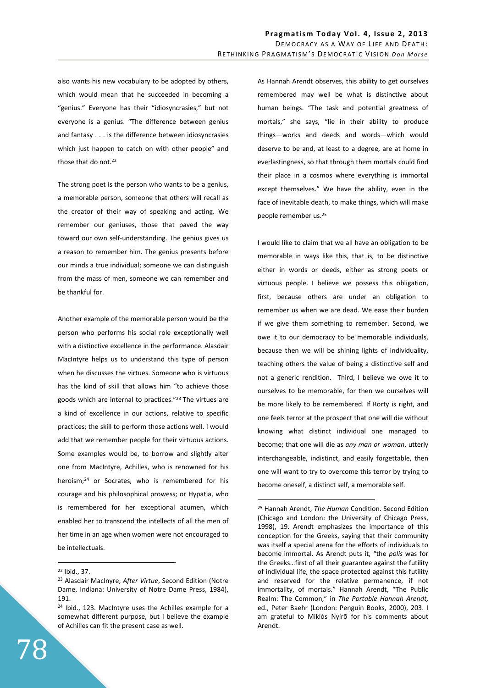also wants his new vocabulary to be adopted by others, which would mean that he succeeded in becoming a "genius." Everyone has their "idiosyncrasies," but not everyone is a genius. "The difference between genius and fantasy . . . is the difference between idiosyncrasies which just happen to catch on with other people" and those that do not.<sup>22</sup>

The strong poet is the person who wants to be a genius, a memorable person, someone that others will recall as the creator of their way of speaking and acting. We remember our geniuses, those that paved the way toward our own self-understanding. The genius gives us a reason to remember him. The genius presents before our minds a true individual; someone we can distinguish from the mass of men, someone we can remember and be thankful for.

Another example of the memorable person would be the person who performs his social role exceptionally well with a distinctive excellence in the performance. Alasdair MacIntyre helps us to understand this type of person when he discusses the virtues. Someone who is virtuous has the kind of skill that allows him "to achieve those goods which are internal to practices."<sup>23</sup> The virtues are a kind of excellence in our actions, relative to specific practices; the skill to perform those actions well. I would add that we remember people for their virtuous actions. Some examples would be, to borrow and slightly alter one from MacIntyre, Achilles, who is renowned for his heroism;<sup>24</sup> or Socrates, who is remembered for his courage and his philosophical prowess; or Hypatia, who is remembered for her exceptional acumen, which enabled her to transcend the intellects of all the men of her time in an age when women were not encouraged to be intellectuals.

 $\overline{a}$ 

As Hannah Arendt observes, this ability to get ourselves remembered may well be what is distinctive about human beings. "The task and potential greatness of mortals," she says, "lie in their ability to produce things—works and deeds and words—which would deserve to be and, at least to a degree, are at home in everlastingness, so that through them mortals could find their place in a cosmos where everything is immortal except themselves." We have the ability, even in the face of inevitable death, to make things, which will make people remember us.<sup>25</sup>

I would like to claim that we all have an obligation to be memorable in ways like this, that is, to be distinctive either in words or deeds, either as strong poets or virtuous people. I believe we possess this obligation, first, because others are under an obligation to remember us when we are dead. We ease their burden if we give them something to remember. Second, we owe it to our democracy to be memorable individuals, because then we will be shining lights of individuality, teaching others the value of being a distinctive self and not a generic rendition. Third, I believe we owe it to ourselves to be memorable, for then we ourselves will be more likely to be remembered. If Rorty is right, and one feels terror at the prospect that one will die without knowing what distinct individual one managed to become; that one will die as *any man or woman*, utterly interchangeable, indistinct, and easily forgettable, then one will want to try to overcome this terror by trying to become oneself, a distinct self, a memorable self.

<sup>22</sup> Ibid., 37.

<sup>23</sup> Alasdair MacInyre, *After Virtue*, Second Edition (Notre Dame, Indiana: University of Notre Dame Press, 1984), 191.

<sup>24</sup> Ibid., 123. MacIntyre uses the Achilles example for a somewhat different purpose, but I believe the example of Achilles can fit the present case as well.

<sup>25</sup> Hannah Arendt, *The Human* Condition. Second Edition (Chicago and London: the University of Chicago Press, 1998), 19. Arendt emphasizes the importance of this conception for the Greeks, saying that their community was itself a special arena for the efforts of individuals to become immortal. As Arendt puts it, "the *polis* was for the Greeks…first of all their guarantee against the futility of individual life, the space protected against this futility and reserved for the relative permanence, if not immortality, of mortals." Hannah Arendt, "The Public Realm: The Common," in *The Portable Hannah Arendt,*  ed., Peter Baehr (London: Penguin Books, 2000), 203. I am grateful to Miklós Nyírõ for his comments about Arendt.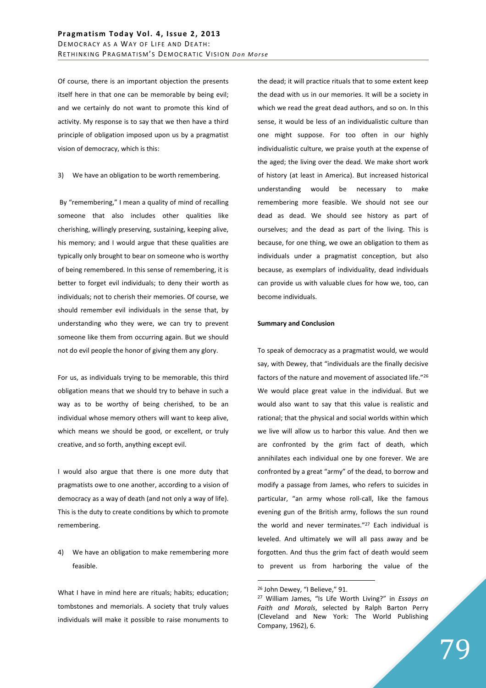Of course, there is an important objection the presents itself here in that one can be memorable by being evil; and we certainly do not want to promote this kind of activity. My response is to say that we then have a third principle of obligation imposed upon us by a pragmatist vision of democracy, which is this:

#### 3) We have an obligation to be worth remembering.

 By "remembering," I mean a quality of mind of recalling someone that also includes other qualities like cherishing, willingly preserving, sustaining, keeping alive, his memory; and I would argue that these qualities are typically only brought to bear on someone who is worthy of being remembered. In this sense of remembering, it is better to forget evil individuals; to deny their worth as individuals; not to cherish their memories. Of course, we should remember evil individuals in the sense that, by understanding who they were, we can try to prevent someone like them from occurring again. But we should not do evil people the honor of giving them any glory.

For us, as individuals trying to be memorable, this third obligation means that we should try to behave in such a way as to be worthy of being cherished, to be an individual whose memory others will want to keep alive, which means we should be good, or excellent, or truly creative, and so forth, anything except evil.

I would also argue that there is one more duty that pragmatists owe to one another, according to a vision of democracy as a way of death (and not only a way of life). This is the duty to create conditions by which to promote remembering.

# 4) We have an obligation to make remembering more feasible.

What I have in mind here are rituals; habits; education; tombstones and memorials. A society that truly values individuals will make it possible to raise monuments to the dead; it will practice rituals that to some extent keep the dead with us in our memories. It will be a society in which we read the great dead authors, and so on. In this sense, it would be less of an individualistic culture than one might suppose. For too often in our highly individualistic culture, we praise youth at the expense of the aged; the living over the dead. We make short work of history (at least in America). But increased historical understanding would be necessary to make remembering more feasible. We should not see our dead as dead. We should see history as part of ourselves; and the dead as part of the living. This is because, for one thing, we owe an obligation to them as individuals under a pragmatist conception, but also because, as exemplars of individuality, dead individuals can provide us with valuable clues for how we, too, can become individuals.

## **Summary and Conclusion**

To speak of democracy as a pragmatist would, we would say, with Dewey, that "individuals are the finally decisive factors of the nature and movement of associated life."<sup>26</sup> We would place great value in the individual. But we would also want to say that this value is realistic and rational; that the physical and social worlds within which we live will allow us to harbor this value. And then we are confronted by the grim fact of death, which annihilates each individual one by one forever. We are confronted by a great "army" of the dead, to borrow and modify a passage from James, who refers to suicides in particular, "an army whose roll-call, like the famous evening gun of the British army, follows the sun round the world and never terminates."<sup>27</sup> Each individual is leveled. And ultimately we will all pass away and be forgotten. And thus the grim fact of death would seem to prevent us from harboring the value of the

<sup>26</sup> John Dewey, "I Believe," 91.

<sup>27</sup> William James, "Is Life Worth Living?" in *Essays on Faith and Morals*, selected by Ralph Barton Perry (Cleveland and New York: The World Publishing Company, 1962), 6.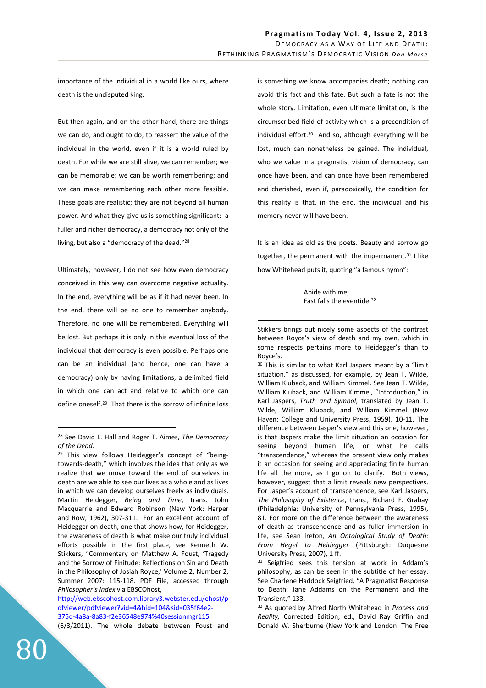importance of the individual in a world like ours, where death is the undisputed king.

But then again, and on the other hand, there are things we can do, and ought to do, to reassert the value of the individual in the world, even if it is a world ruled by death. For while we are still alive, we can remember; we can be memorable; we can be worth remembering; and we can make remembering each other more feasible. These goals are realistic; they are not beyond all human power. And what they give us is something significant: a fuller and richer democracy, a democracy not only of the living, but also a "democracy of the dead."<sup>28</sup>

Ultimately, however, I do not see how even democracy conceived in this way can overcome negative actuality. In the end, everything will be as if it had never been. In the end, there will be no one to remember anybody. Therefore, no one will be remembered. Everything will be lost. But perhaps it is only in this eventual loss of the individual that democracy is even possible. Perhaps one can be an individual (and hence, one can have a democracy) only by having limitations, a delimited field in which one can act and relative to which one can define oneself.<sup>29</sup> That there is the sorrow of infinite loss

http://web.ebscohost.com.library3.webster.edu/ehost/p dfviewer/pdfviewer?vid=4&hid=104&sid=035f64e2- 375d-4a8a-8a83-f2e36548e974%40sessionmgr115

(6/3/2011). The whole debate between Foust and

is something we know accompanies death; nothing can avoid this fact and this fate. But such a fate is not the whole story. Limitation, even ultimate limitation, is the circumscribed field of activity which is a precondition of individual effort.<sup>30</sup> And so, although everything will be lost, much can nonetheless be gained. The individual, who we value in a pragmatist vision of democracy, can once have been, and can once have been remembered and cherished, even if, paradoxically, the condition for this reality is that, in the end, the individual and his memory never will have been.

It is an idea as old as the poets. Beauty and sorrow go together, the permanent with the impermanent. $31$  I like how Whitehead puts it, quoting "a famous hymn":

> Abide with me; Fast falls the eventide.<sup>32</sup>

 $\overline{a}$ 

<sup>30</sup> This is similar to what Karl Jaspers meant by a "limit situation," as discussed, for example, by Jean T. Wilde, William Kluback, and William Kimmel. See Jean T. Wilde, William Kluback, and William Kimmel, "Introduction," in Karl Jaspers, *Truth and Symbol*, translated by Jean T. Wilde, William Kluback, and William Kimmel (New Haven: College and University Press, 1959), 10-11. The difference between Jasper's view and this one, however, is that Jaspers make the limit situation an occasion for seeing beyond human life, or what he calls "transcendence," whereas the present view only makes it an occasion for seeing and appreciating finite human life all the more, as I go on to clarify. Both views, however, suggest that a limit reveals new perspectives. For Jasper's account of transcendence, see Karl Jaspers, *The Philosophy of Existence*, trans., Richard F. Grabay (Philadelphia: University of Pennsylvania Press, 1995), 81. For more on the difference between the awareness of death as transcendence and as fuller immersion in life, see Sean Ireton, *An Ontological Study of Death: From Hegel to Heidegger* (Pittsburgh: Duquesne University Press, 2007), 1 ff.

<sup>28</sup> See David L. Hall and Roger T. Aimes, *The Democracy of the Dead.*

<sup>29</sup> This view follows Heidegger's concept of "beingtowards-death," which involves the idea that only as we realize that we move toward the end of ourselves in death are we able to see our lives as a whole and as lives in which we can develop ourselves freely as individuals. Martin Heidegger, *Being and Time*, trans. John Macquarrie and Edward Robinson (New York: Harper and Row, 1962), 307-311. For an excellent account of Heidegger on death, one that shows how, for Heidegger, the awareness of death is what make our truly individual efforts possible in the first place, see Kenneth W. Stikkers, "Commentary on Matthew A. Foust, 'Tragedy and the Sorrow of Finitude: Reflections on Sin and Death in the Philosophy of Josiah Royce,' Volume 2, Number 2, Summer 2007: 115-118. PDF File, accessed through *Philosopher's Index* via EBSCOhost,

Stikkers brings out nicely some aspects of the contrast between Royce's view of death and my own, which in some respects pertains more to Heidegger's than to Royce's.

<sup>&</sup>lt;sup>31</sup> Seigfried sees this tension at work in Addam's philosophy, as can be seen in the subtitle of her essay. See Charlene Haddock Seigfried, "A Pragmatist Response to Death: Jane Addams on the Permanent and the Transient," 133.

<sup>32</sup> As quoted by Alfred North Whitehead in *Process and Reality,* Corrected Edition, ed., David Ray Griffin and Donald W. Sherburne (New York and London: The Free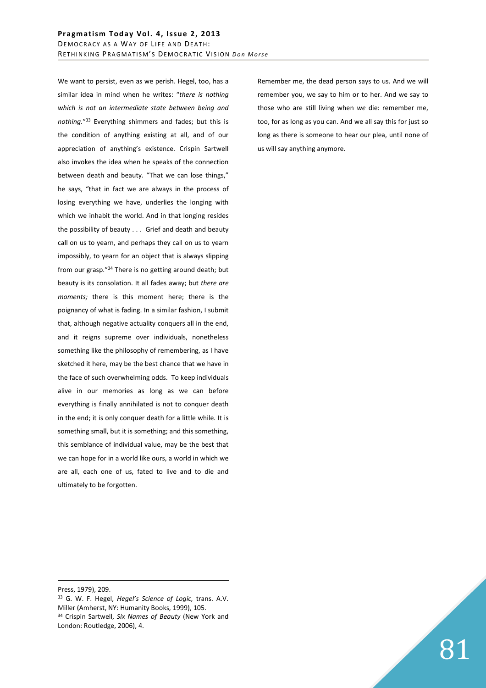We want to persist, even as we perish. Hegel, too, has a similar idea in mind when he writes: "*there is nothing which is not an intermediate state between being and nothing.*" <sup>33</sup> Everything shimmers and fades; but this is the condition of anything existing at all, and of our appreciation of anything's existence. Crispin Sartwell also invokes the idea when he speaks of the connection between death and beauty. "That we can lose things," he says, "that in fact we are always in the process of losing everything we have, underlies the longing with which we inhabit the world. And in that longing resides the possibility of beauty . . . Grief and death and beauty call on us to yearn, and perhaps they call on us to yearn impossibly, to yearn for an object that is always slipping from our grasp."<sup>34</sup> There is no getting around death; but beauty is its consolation. It all fades away; but *there are moments;* there is this moment here; there is the poignancy of what is fading. In a similar fashion, I submit that, although negative actuality conquers all in the end, and it reigns supreme over individuals, nonetheless something like the philosophy of remembering, as I have sketched it here, may be the best chance that we have in the face of such overwhelming odds. To keep individuals alive in our memories as long as we can before everything is finally annihilated is not to conquer death in the end; it is only conquer death for a little while. It is something small, but it is something; and this something, this semblance of individual value, may be the best that we can hope for in a world like ours, a world in which we are all, each one of us, fated to live and to die and ultimately to be forgotten.

Remember me, the dead person says to us. And we will remember you, we say to him or to her. And we say to those who are still living when *we* die: remember me, too, for as long as you can. And we all say this for just so long as there is someone to hear our plea, until none of us will say anything anymore.

<u>.</u>

Press, 1979), 209.

<sup>33</sup> G. W. F. Hegel, *Hegel's Science of Logic,* trans. A.V. Miller (Amherst, NY: Humanity Books, 1999), 105. <sup>34</sup> Crispin Sartwell, *Six Names of Beauty* (New York and London: Routledge, 2006), 4.